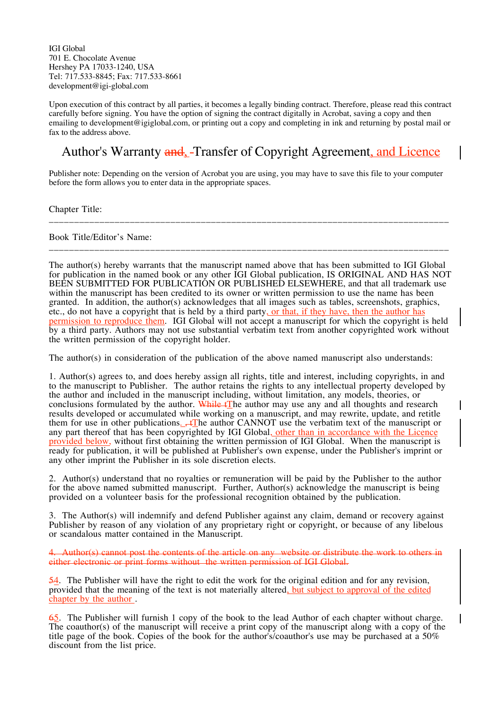IGI Global 701 E. Chocolate Avenue Hershey PA 17033-1240, USA Tel: 717.533-8845; Fax: 717.533-8661 development@igi-global.com

Upon execution of this contract by all parties, it becomes a legally binding contract. Therefore, please read this contract carefully before signing. You have the option of signing the contract digitally in Acrobat, saving a copy and then emailing to development@igiglobal.com, or printing out a copy and completing in ink and returning by postal mail or fax to the address above.

## Author's Warranty and Transfer of Copyright Agreement, and Licence

Publisher note: Depending on the version of Acrobat you are using, you may have to save this file to your computer before the form allows you to enter data in the appropriate spaces.

\_\_\_\_\_\_\_\_\_\_\_\_\_\_\_\_\_\_\_\_\_\_\_\_\_\_\_\_\_\_\_\_\_\_\_\_\_\_\_\_\_\_\_\_\_\_\_\_\_\_\_\_\_\_\_\_\_\_\_\_\_\_\_\_\_\_\_\_\_\_\_\_\_\_\_\_\_\_\_

\_\_\_\_\_\_\_\_\_\_\_\_\_\_\_\_\_\_\_\_\_\_\_\_\_\_\_\_\_\_\_\_\_\_\_\_\_\_\_\_\_\_\_\_\_\_\_\_\_\_\_\_\_\_\_\_\_\_\_\_\_\_\_\_\_\_\_\_\_\_\_\_\_\_\_\_\_\_\_

Chapter Title:

Book Title/Editor's Name:

The author(s) hereby warrants that the manuscript named above that has been submitted to IGI Global for publication in the named book or any other IGI Global publication, IS ORIGINAL AND HAS NOT BEEN SUBMITTED FOR PUBLICATION OR PUBLISHED ELSEWHERE, and that all trademark use within the manuscript has been credited to its owner or written permission to use the name has been granted. In addition, the author(s) acknowledges that all images such as tables, screenshots, graphics, etc., do not have a copyright that is held by a third party, or that, if they have, then the author has permission to reproduce them. IGI Global will not accept a manuscript for which the copyright is held by a third party. Authors may not use substantial verbatim text from another copyrighted work without the written permission of the copyright holder.

The author(s) in consideration of the publication of the above named manuscript also understands:

1. Author(s) agrees to, and does hereby assign all rights, title and interest, including copyrights, in and to the manuscript to Publisher. The author retains the rights to any intellectual property developed by the author and included in the manuscript including, without limitation, any models, theories, or conclusions formulated by the author. While  $\downarrow$ The author may use any and all thoughts and research results developed or accumulated while working on a manuscript, and may rewrite, update, and retitle them for use in other publications.  $\downarrow$ The author CANNOT use the verbatim text of the manuscript or any part thereof that has been copyrighted by IGI Global, other than in accordance with the Licence provided below, without first obtaining the written permission of IGI Global. When the manuscript is ready for publication, it will be published at Publisher's own expense, under the Publisher's imprint or any other imprint the Publisher in its sole discretion elects.

2. Author(s) understand that no royalties or remuneration will be paid by the Publisher to the author for the above named submitted manuscript. Further, Author(s) acknowledge the manuscript is being provided on a volunteer basis for the professional recognition obtained by the publication.

3. The Author(s) will indemnify and defend Publisher against any claim, demand or recovery against Publisher by reason of any violation of any proprietary right or copyright, or because of any libelous or scandalous matter contained in the Manuscript.

4. Author(s) cannot post the contents of the article on any website or distribute the work to others in either electronic or print forms without the written permission of IGI Global.

54. The Publisher will have the right to edit the work for the original edition and for any revision, provided that the meaning of the text is not materially altered, but subject to approval of the edited chapter by the author .

65. The Publisher will furnish 1 copy of the book to the lead Author of each chapter without charge. The coauthor(s) of the manuscript will receive a print copy of the manuscript along with a copy of the title page of the book. Copies of the book for the author's/coauthor's use may be purchased at a 50% discount from the list price.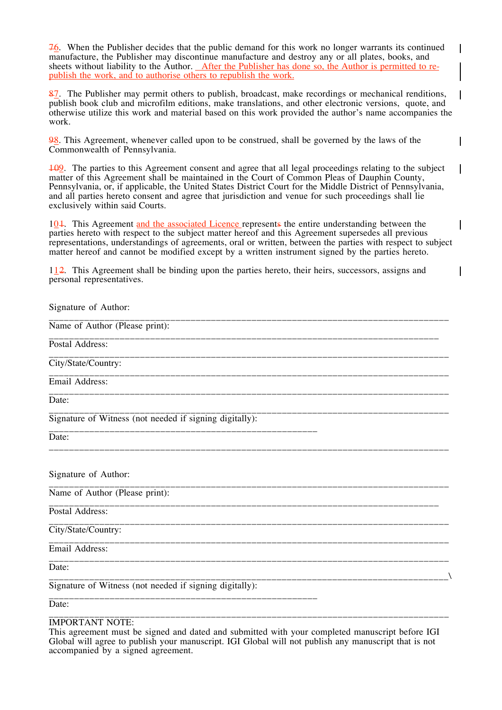76. When the Publisher decides that the public demand for this work no longer warrants its continued manufacture, the Publisher may discontinue manufacture and destroy any or all plates, books, and sheets without liability to the Author. After the Publisher has done so, the Author is permitted to republish the work, and to authorise others to republish the work.

 $\mathsf{l}$ 

 $\overline{\phantom{a}}$ 

 $\mathbf{I}$ 

 $\overline{\phantom{a}}$ 

 $\overline{\phantom{a}}$ 

 $\mathbf I$ 

87. The Publisher may permit others to publish, broadcast, make recordings or mechanical renditions, publish book club and microfilm editions, make translations, and other electronic versions, quote, and otherwise utilize this work and material based on this work provided the author's name accompanies the work.

98. This Agreement, whenever called upon to be construed, shall be governed by the laws of the Commonwealth of Pennsylvania.

109. The parties to this Agreement consent and agree that all legal proceedings relating to the subject matter of this Agreement shall be maintained in the Court of Common Pleas of Dauphin County, Pennsylvania, or, if applicable, the United States District Court for the Middle District of Pennsylvania, and all parties hereto consent and agree that jurisdiction and venue for such proceedings shall lie exclusively within said Courts.

101. This Agreement and the associated Licence represents the entire understanding between the parties hereto with respect to the subject matter hereof and this Agreement supersedes all previous representations, understandings of agreements, oral or written, between the parties with respect to subject matter hereof and cannot be modified except by a written instrument signed by the parties hereto.

112. This Agreement shall be binding upon the parties hereto, their heirs, successors, assigns and personal representatives.

| Signature of Author:                                    |
|---------------------------------------------------------|
| Name of Author (Please print):                          |
| Postal Address:                                         |
| City/State/Country:                                     |
| Email Address:                                          |
| Date:                                                   |
| Signature of Witness (not needed if signing digitally): |
| Date:                                                   |
| Signature of Author:                                    |
| Name of Author (Please print):                          |
| Postal Address:                                         |
| City/State/Country:                                     |
| Email Address:                                          |
| Date:                                                   |
| Signature of Witness (not needed if signing digitally): |
| Date:                                                   |
| <b>IMPORTANT NOTE:</b>                                  |

This agreement must be signed and dated and submitted with your completed manuscript before IGI Global will agree to publish your manuscript. IGI Global will not publish any manuscript that is not accompanied by a signed agreement.